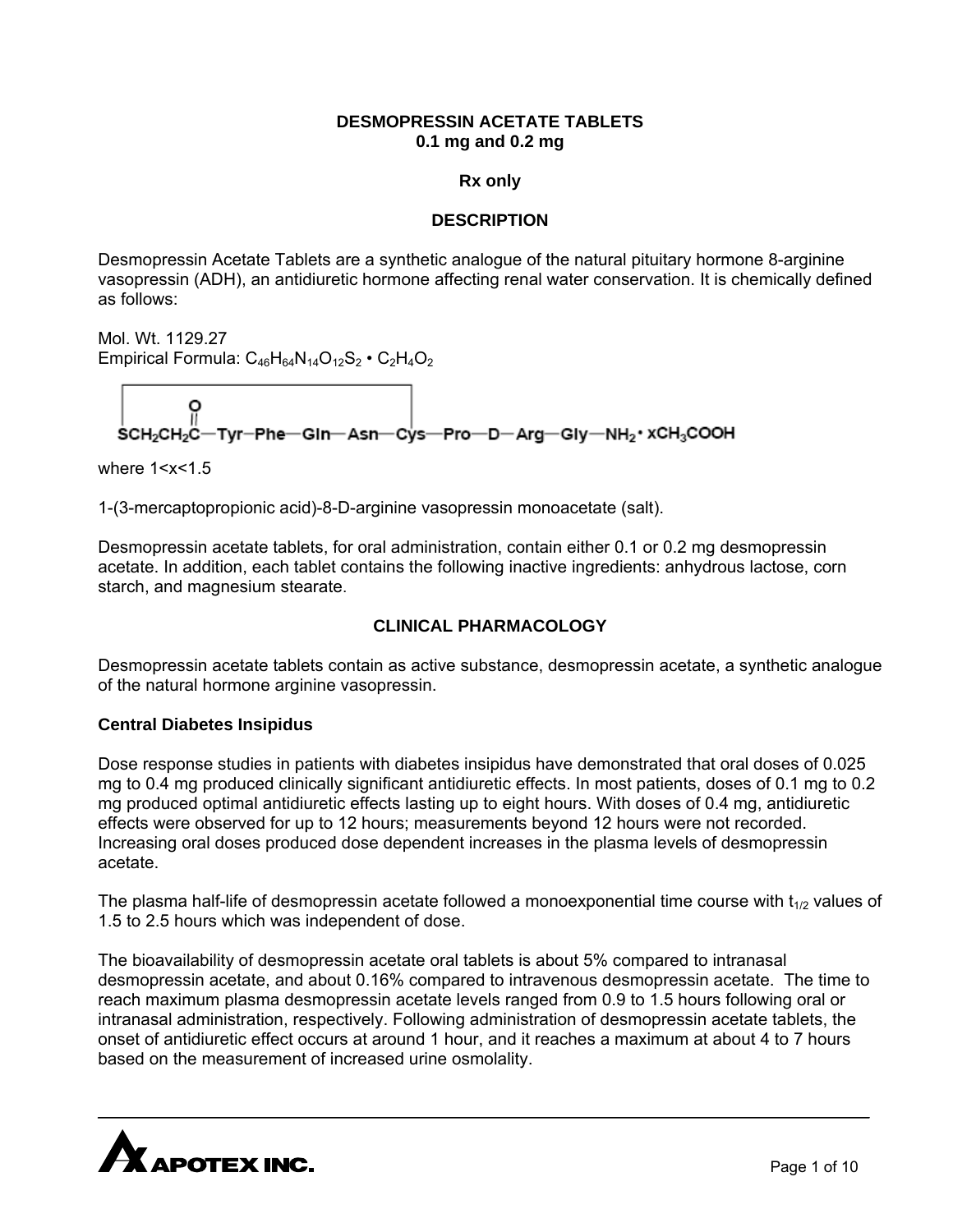## **DESMOPRESSIN ACETATE TABLETS 0.1 mg and 0.2 mg**

#### **Rx only**

## **DESCRIPTION**

Desmopressin Acetate Tablets are a synthetic analogue of the natural pituitary hormone 8-arginine vasopressin (ADH), an antidiuretic hormone affecting renal water conservation. It is chemically defined as follows:

Mol. Wt. 1129.27 Empirical Formula:  $C_{46}H_{64}N_{14}O_{12}S_2 \cdot C_2H_4O_2$ 

$$
\left|\begin{array}{cc} O & O \\ \hline \text{C} & O \\ \text{SCH}_2\text{CH}_2\text{C}\text{--}\text{Tr} \text{--}\text{Phe--}\text{GIn--}\text{Asn--}\text{Cys--}\text{Pro--}\text{D--}\text{Arg--}\text{Gly--}\text{NH}_2\cdot \text{XCH}_3\text{COOH} \end{array}\right|
$$

where 1<x<1.5

1-(3-mercaptopropionic acid)-8-D-arginine vasopressin monoacetate (salt).

Desmopressin acetate tablets, for oral administration, contain either 0.1 or 0.2 mg desmopressin acetate. In addition, each tablet contains the following inactive ingredients: anhydrous lactose, corn starch, and magnesium stearate.

## **CLINICAL PHARMACOLOGY**

Desmopressin acetate tablets contain as active substance, desmopressin acetate, a synthetic analogue of the natural hormone arginine vasopressin.

#### **Central Diabetes Insipidus**

Dose response studies in patients with diabetes insipidus have demonstrated that oral doses of 0.025 mg to 0.4 mg produced clinically significant antidiuretic effects. In most patients, doses of 0.1 mg to 0.2 mg produced optimal antidiuretic effects lasting up to eight hours. With doses of 0.4 mg, antidiuretic effects were observed for up to 12 hours; measurements beyond 12 hours were not recorded. Increasing oral doses produced dose dependent increases in the plasma levels of desmopressin acetate.

The plasma half-life of desmopressin acetate followed a monoexponential time course with  $t_{1/2}$  values of 1.5 to 2.5 hours which was independent of dose.

The bioavailability of desmopressin acetate oral tablets is about 5% compared to intranasal desmopressin acetate, and about 0.16% compared to intravenous desmopressin acetate. The time to reach maximum plasma desmopressin acetate levels ranged from 0.9 to 1.5 hours following oral or intranasal administration, respectively. Following administration of desmopressin acetate tablets, the onset of antidiuretic effect occurs at around 1 hour, and it reaches a maximum at about 4 to 7 hours based on the measurement of increased urine osmolality.

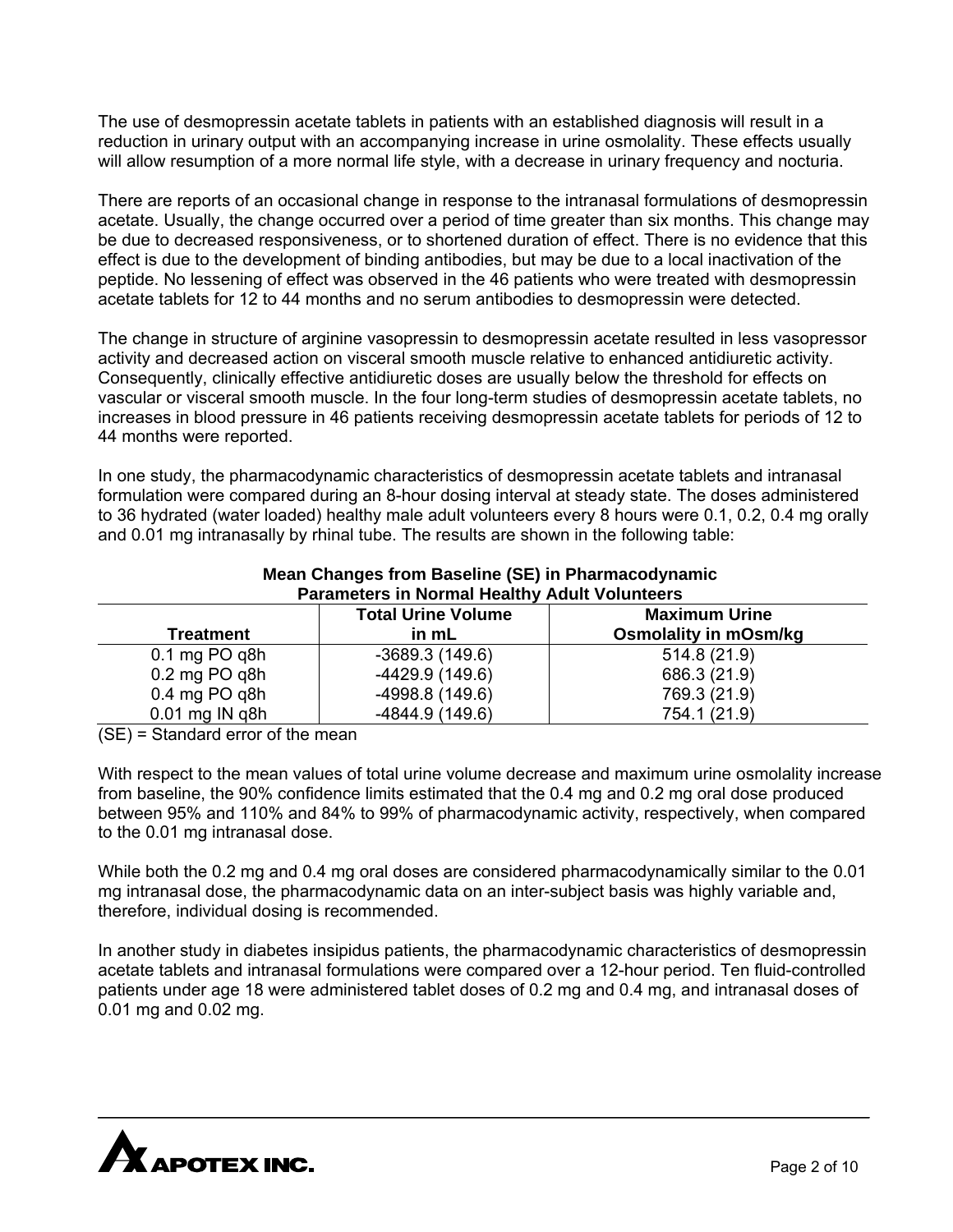The use of desmopressin acetate tablets in patients with an established diagnosis will result in a reduction in urinary output with an accompanying increase in urine osmolality. These effects usually will allow resumption of a more normal life style, with a decrease in urinary frequency and nocturia.

There are reports of an occasional change in response to the intranasal formulations of desmopressin acetate. Usually, the change occurred over a period of time greater than six months. This change may be due to decreased responsiveness, or to shortened duration of effect. There is no evidence that this effect is due to the development of binding antibodies, but may be due to a local inactivation of the peptide. No lessening of effect was observed in the 46 patients who were treated with desmopressin acetate tablets for 12 to 44 months and no serum antibodies to desmopressin were detected.

The change in structure of arginine vasopressin to desmopressin acetate resulted in less vasopressor activity and decreased action on visceral smooth muscle relative to enhanced antidiuretic activity. Consequently, clinically effective antidiuretic doses are usually below the threshold for effects on vascular or visceral smooth muscle. In the four long-term studies of desmopressin acetate tablets, no increases in blood pressure in 46 patients receiving desmopressin acetate tablets for periods of 12 to 44 months were reported.

In one study, the pharmacodynamic characteristics of desmopressin acetate tablets and intranasal formulation were compared during an 8-hour dosing interval at steady state. The doses administered to 36 hydrated (water loaded) healthy male adult volunteers every 8 hours were 0.1, 0.2, 0.4 mg orally and 0.01 mg intranasally by rhinal tube. The results are shown in the following table:

| <b>Parameters in Normal Healthy Adult Volunteers</b> |                           |                              |  |  |  |
|------------------------------------------------------|---------------------------|------------------------------|--|--|--|
|                                                      | <b>Total Urine Volume</b> | <b>Maximum Urine</b>         |  |  |  |
| <b>Treatment</b>                                     | in mL                     | <b>Osmolality in mOsm/kg</b> |  |  |  |
| $0.1$ mg PO q8h                                      | $-3689.3(149.6)$          | 514.8 (21.9)                 |  |  |  |
| $0.2$ mg PO q8h                                      | $-4429.9(149.6)$          | 686.3 (21.9)                 |  |  |  |
| $0.4$ mg PO q8h                                      | -4998.8 (149.6)           | 769.3 (21.9)                 |  |  |  |
| $0.01$ mg IN q8h                                     | $-4844.9(149.6)$          | 754.1 (21.9)                 |  |  |  |

# **Mean Changes from Baseline (SE) in Pharmacodynamic**

(SE) = Standard error of the mean

With respect to the mean values of total urine volume decrease and maximum urine osmolality increase from baseline, the 90% confidence limits estimated that the 0.4 mg and 0.2 mg oral dose produced between 95% and 110% and 84% to 99% of pharmacodynamic activity, respectively, when compared to the 0.01 mg intranasal dose.

While both the 0.2 mg and 0.4 mg oral doses are considered pharmacodynamically similar to the 0.01 mg intranasal dose, the pharmacodynamic data on an inter-subject basis was highly variable and, therefore, individual dosing is recommended.

In another study in diabetes insipidus patients, the pharmacodynamic characteristics of desmopressin acetate tablets and intranasal formulations were compared over a 12-hour period. Ten fluid-controlled patients under age 18 were administered tablet doses of 0.2 mg and 0.4 mg, and intranasal doses of 0.01 mg and 0.02 mg.

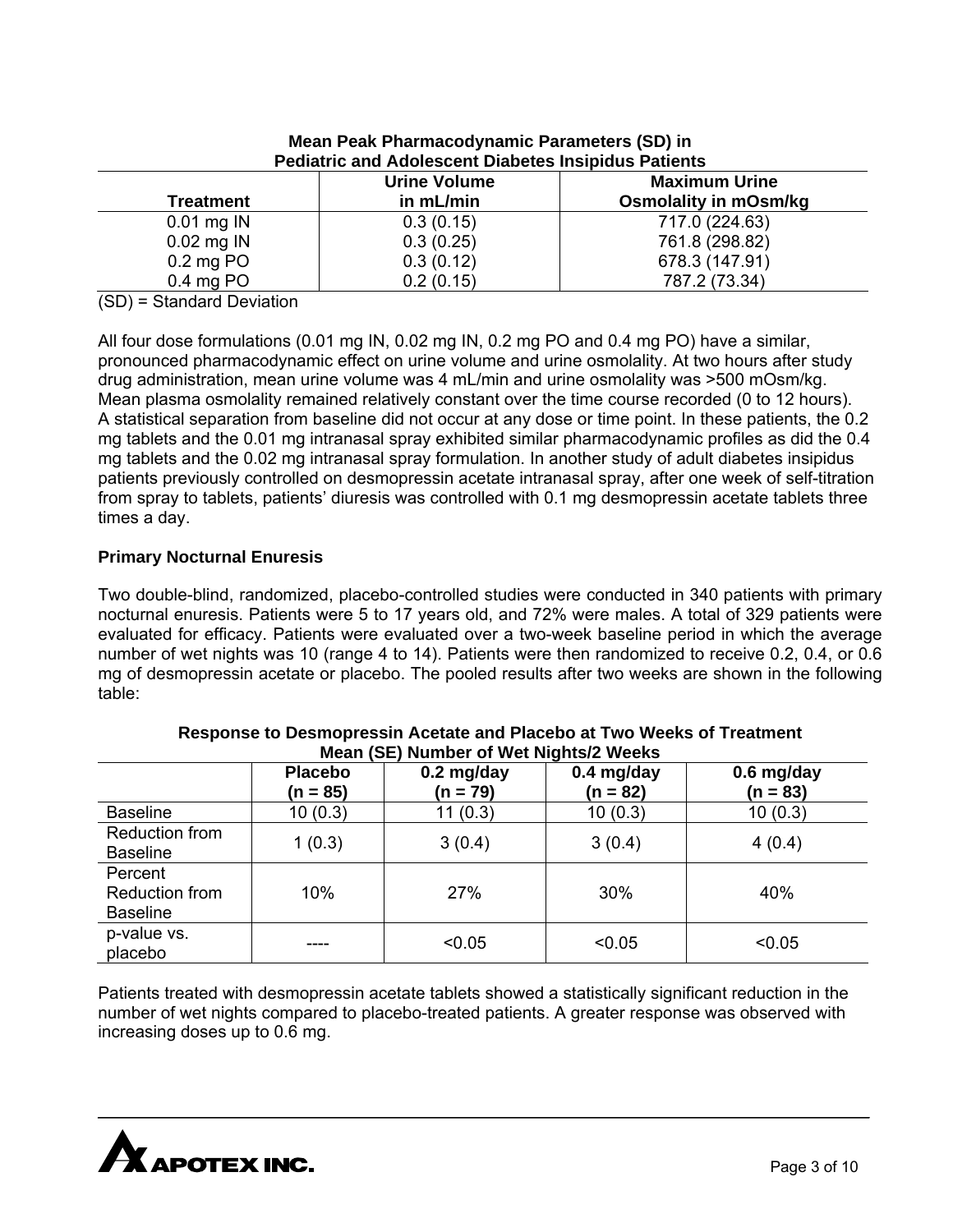| <b>Urine Volume</b> |           | <b>Maximum Urine</b>         |  |
|---------------------|-----------|------------------------------|--|
| <b>Treatment</b>    | in mL/min | <b>Osmolality in mOsm/kg</b> |  |
| $0.01$ mg IN        | 0.3(0.15) | 717.0 (224.63)               |  |
| $0.02$ mg IN        | 0.3(0.25) | 761.8 (298.82)               |  |
| $0.2$ mg PO         | 0.3(0.12) | 678.3 (147.91)               |  |
| $0.4$ mg PO         | 0.2(0.15) | 787.2 (73.34)                |  |

## **Mean Peak Pharmacodynamic Parameters (SD) in Pediatric and Adolescent Diabetes Insipidus Patients**

(SD) = Standard Deviation

All four dose formulations (0.01 mg IN, 0.02 mg IN, 0.2 mg PO and 0.4 mg PO) have a similar, pronounced pharmacodynamic effect on urine volume and urine osmolality. At two hours after study drug administration, mean urine volume was 4 mL/min and urine osmolality was >500 mOsm/kg. Mean plasma osmolality remained relatively constant over the time course recorded (0 to 12 hours). A statistical separation from baseline did not occur at any dose or time point. In these patients, the 0.2 mg tablets and the 0.01 mg intranasal spray exhibited similar pharmacodynamic profiles as did the 0.4 mg tablets and the 0.02 mg intranasal spray formulation. In another study of adult diabetes insipidus patients previously controlled on desmopressin acetate intranasal spray, after one week of self-titration from spray to tablets, patients' diuresis was controlled with 0.1 mg desmopressin acetate tablets three times a day.

# **Primary Nocturnal Enuresis**

Two double-blind, randomized, placebo-controlled studies were conducted in 340 patients with primary nocturnal enuresis. Patients were 5 to 17 years old, and 72% were males. A total of 329 patients were evaluated for efficacy. Patients were evaluated over a two-week baseline period in which the average number of wet nights was 10 (range 4 to 14). Patients were then randomized to receive 0.2, 0.4, or 0.6 mg of desmopressin acetate or placebo. The pooled results after two weeks are shown in the following table:

| Mean (SE) Number of Wet Nights/2 weeks       |                              |                          |                            |                            |  |
|----------------------------------------------|------------------------------|--------------------------|----------------------------|----------------------------|--|
|                                              | <b>Placebo</b><br>$(n = 85)$ | $0.2$ mg/day<br>(n = 79) | $0.4$ mg/day<br>$(n = 82)$ | $0.6$ mg/day<br>$(n = 83)$ |  |
| <b>Baseline</b>                              | 10(0.3)                      | 11(0.3)                  | 10(0.3)                    | 10(0.3)                    |  |
| Reduction from<br><b>Baseline</b>            | 1(0.3)                       | 3(0.4)                   | 3(0.4)                     | 4(0.4)                     |  |
| Percent<br>Reduction from<br><b>Baseline</b> | 10%                          | 27%                      | 30%                        | 40%                        |  |
| p-value vs.<br>placebo                       |                              | < 0.05                   | < 0.05                     | < 0.05                     |  |

| Response to Desmopressin Acetate and Placebo at Two Weeks of Treatment |
|------------------------------------------------------------------------|
| Mean (SE) Number of Wet Nights/2 Weeks                                 |

Patients treated with desmopressin acetate tablets showed a statistically significant reduction in the number of wet nights compared to placebo-treated patients. A greater response was observed with increasing doses up to 0.6 mg.

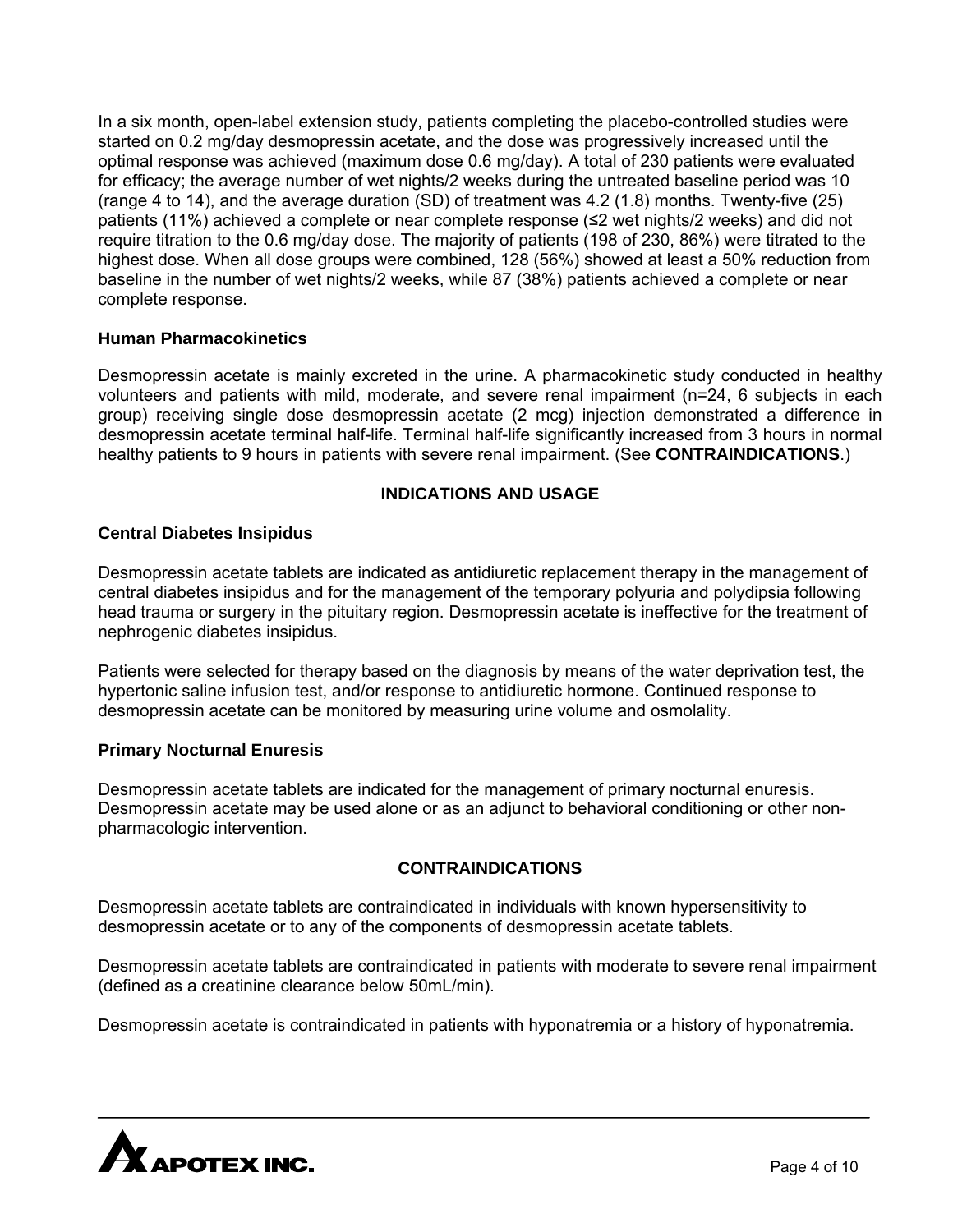In a six month, open-label extension study, patients completing the placebo-controlled studies were started on 0.2 mg/day desmopressin acetate, and the dose was progressively increased until the optimal response was achieved (maximum dose 0.6 mg/day). A total of 230 patients were evaluated for efficacy; the average number of wet nights/2 weeks during the untreated baseline period was 10 (range 4 to 14), and the average duration (SD) of treatment was 4.2 (1.8) months. Twenty-five (25) patients (11%) achieved a complete or near complete response (≤2 wet nights/2 weeks) and did not require titration to the 0.6 mg/day dose. The majority of patients (198 of 230, 86%) were titrated to the highest dose. When all dose groups were combined, 128 (56%) showed at least a 50% reduction from baseline in the number of wet nights/2 weeks, while 87 (38%) patients achieved a complete or near complete response.

# **Human Pharmacokinetics**

Desmopressin acetate is mainly excreted in the urine. A pharmacokinetic study conducted in healthy volunteers and patients with mild, moderate, and severe renal impairment (n=24, 6 subjects in each group) receiving single dose desmopressin acetate (2 mcg) injection demonstrated a difference in desmopressin acetate terminal half-life. Terminal half-life significantly increased from 3 hours in normal healthy patients to 9 hours in patients with severe renal impairment. (See **CONTRAINDICATIONS**.)

## **INDICATIONS AND USAGE**

## **Central Diabetes Insipidus**

Desmopressin acetate tablets are indicated as antidiuretic replacement therapy in the management of central diabetes insipidus and for the management of the temporary polyuria and polydipsia following head trauma or surgery in the pituitary region. Desmopressin acetate is ineffective for the treatment of nephrogenic diabetes insipidus.

Patients were selected for therapy based on the diagnosis by means of the water deprivation test, the hypertonic saline infusion test, and/or response to antidiuretic hormone. Continued response to desmopressin acetate can be monitored by measuring urine volume and osmolality.

#### **Primary Nocturnal Enuresis**

Desmopressin acetate tablets are indicated for the management of primary nocturnal enuresis. Desmopressin acetate may be used alone or as an adjunct to behavioral conditioning or other nonpharmacologic intervention.

# **CONTRAINDICATIONS**

Desmopressin acetate tablets are contraindicated in individuals with known hypersensitivity to desmopressin acetate or to any of the components of desmopressin acetate tablets.

Desmopressin acetate tablets are contraindicated in patients with moderate to severe renal impairment (defined as a creatinine clearance below 50mL/min).

Desmopressin acetate is contraindicated in patients with hyponatremia or a history of hyponatremia.

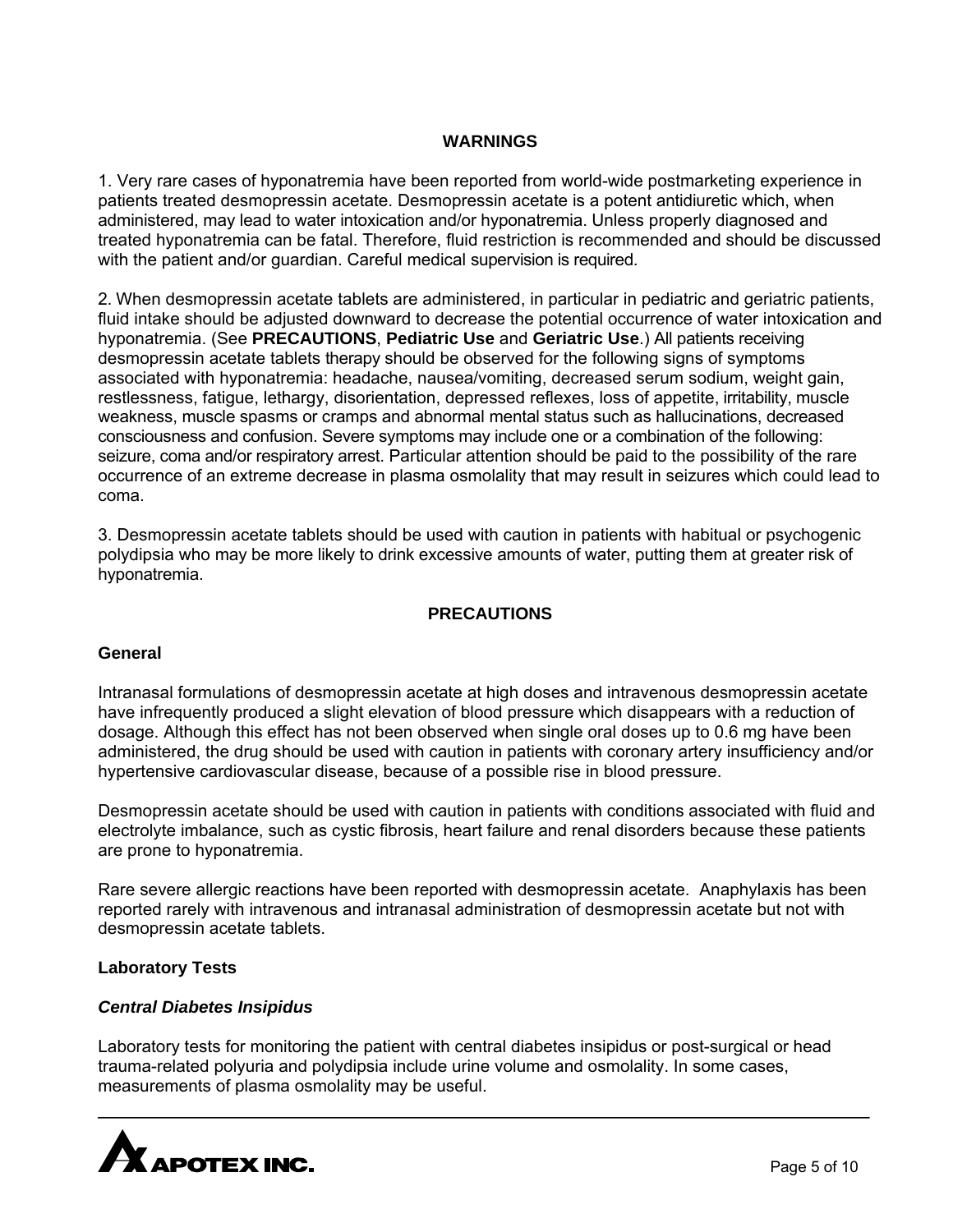## **WARNINGS**

1. Very rare cases of hyponatremia have been reported from world-wide postmarketing experience in patients treated desmopressin acetate. Desmopressin acetate is a potent antidiuretic which, when administered, may lead to water intoxication and/or hyponatremia. Unless properly diagnosed and treated hyponatremia can be fatal. Therefore, fluid restriction is recommended and should be discussed with the patient and/or guardian. Careful medical supervision is required.

2. When desmopressin acetate tablets are administered, in particular in pediatric and geriatric patients, fluid intake should be adjusted downward to decrease the potential occurrence of water intoxication and hyponatremia. (See **PRECAUTIONS**, **Pediatric Use** and **Geriatric Use**.) All patients receiving desmopressin acetate tablets therapy should be observed for the following signs of symptoms associated with hyponatremia: headache, nausea/vomiting, decreased serum sodium, weight gain, restlessness, fatigue, lethargy, disorientation, depressed reflexes, loss of appetite, irritability, muscle weakness, muscle spasms or cramps and abnormal mental status such as hallucinations, decreased consciousness and confusion. Severe symptoms may include one or a combination of the following: seizure, coma and/or respiratory arrest. Particular attention should be paid to the possibility of the rare occurrence of an extreme decrease in plasma osmolality that may result in seizures which could lead to coma.

3. Desmopressin acetate tablets should be used with caution in patients with habitual or psychogenic polydipsia who may be more likely to drink excessive amounts of water, putting them at greater risk of hyponatremia.

## **PRECAUTIONS**

#### **General**

Intranasal formulations of desmopressin acetate at high doses and intravenous desmopressin acetate have infrequently produced a slight elevation of blood pressure which disappears with a reduction of dosage. Although this effect has not been observed when single oral doses up to 0.6 mg have been administered, the drug should be used with caution in patients with coronary artery insufficiency and/or hypertensive cardiovascular disease, because of a possible rise in blood pressure.

Desmopressin acetate should be used with caution in patients with conditions associated with fluid and electrolyte imbalance, such as cystic fibrosis, heart failure and renal disorders because these patients are prone to hyponatremia.

Rare severe allergic reactions have been reported with desmopressin acetate. Anaphylaxis has been reported rarely with intravenous and intranasal administration of desmopressin acetate but not with desmopressin acetate tablets.

#### **Laboratory Tests**

#### *Central Diabetes Insipidus*

Laboratory tests for monitoring the patient with central diabetes insipidus or post-surgical or head trauma-related polyuria and polydipsia include urine volume and osmolality. In some cases, measurements of plasma osmolality may be useful.

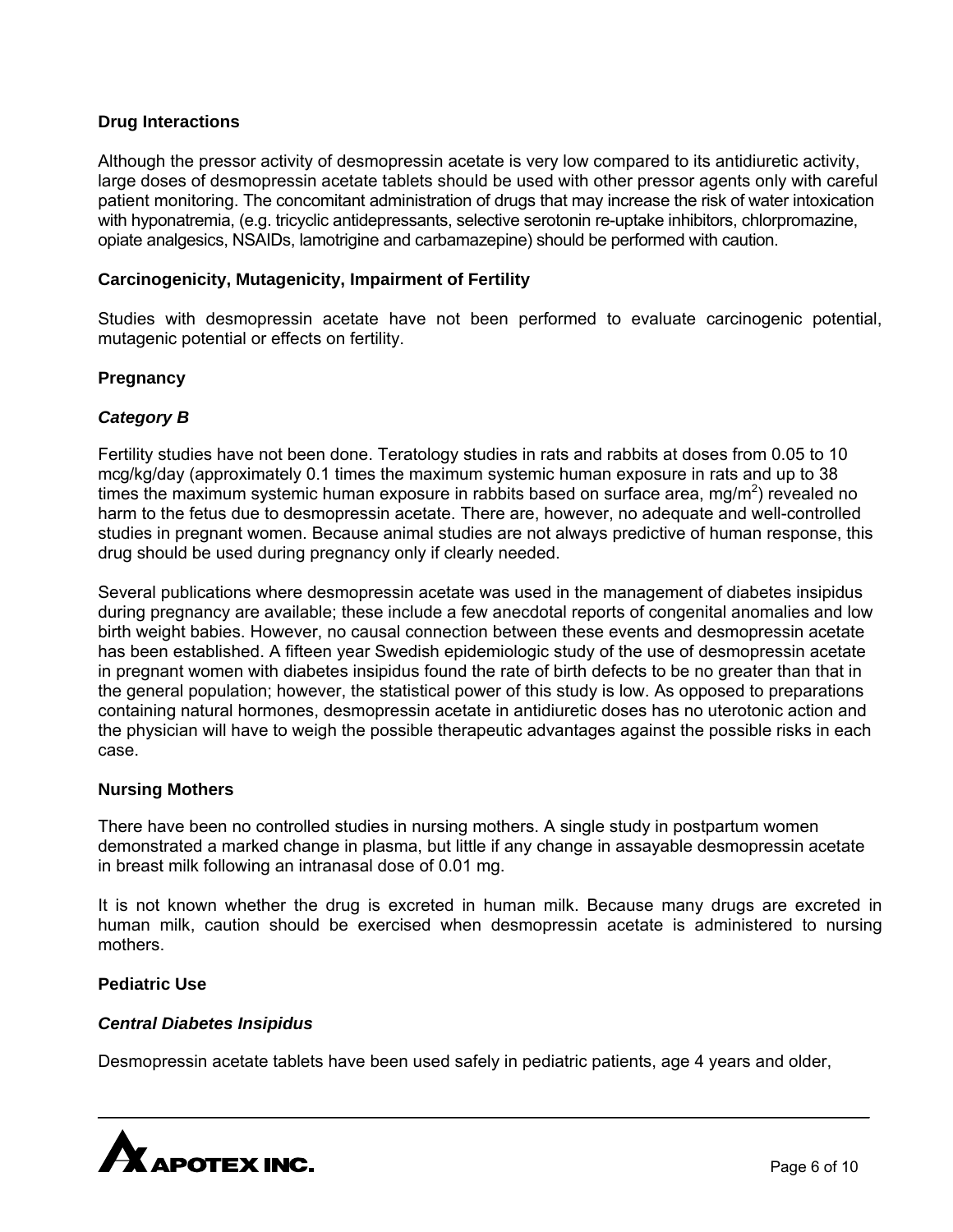# **Drug Interactions**

Although the pressor activity of desmopressin acetate is very low compared to its antidiuretic activity, large doses of desmopressin acetate tablets should be used with other pressor agents only with careful patient monitoring. The concomitant administration of drugs that may increase the risk of water intoxication with hyponatremia, (e.g. tricyclic antidepressants, selective serotonin re-uptake inhibitors, chlorpromazine, opiate analgesics, NSAIDs, lamotrigine and carbamazepine) should be performed with caution.

### **Carcinogenicity, Mutagenicity, Impairment of Fertility**

Studies with desmopressin acetate have not been performed to evaluate carcinogenic potential, mutagenic potential or effects on fertility.

## **Pregnancy**

## *Category B*

Fertility studies have not been done. Teratology studies in rats and rabbits at doses from 0.05 to 10 mcg/kg/day (approximately 0.1 times the maximum systemic human exposure in rats and up to 38 times the maximum systemic human exposure in rabbits based on surface area, mg/m<sup>2</sup>) revealed no harm to the fetus due to desmopressin acetate. There are, however, no adequate and well-controlled studies in pregnant women. Because animal studies are not always predictive of human response, this drug should be used during pregnancy only if clearly needed.

Several publications where desmopressin acetate was used in the management of diabetes insipidus during pregnancy are available; these include a few anecdotal reports of congenital anomalies and low birth weight babies. However, no causal connection between these events and desmopressin acetate has been established. A fifteen year Swedish epidemiologic study of the use of desmopressin acetate in pregnant women with diabetes insipidus found the rate of birth defects to be no greater than that in the general population; however, the statistical power of this study is low. As opposed to preparations containing natural hormones, desmopressin acetate in antidiuretic doses has no uterotonic action and the physician will have to weigh the possible therapeutic advantages against the possible risks in each case.

#### **Nursing Mothers**

There have been no controlled studies in nursing mothers. A single study in postpartum women demonstrated a marked change in plasma, but little if any change in assayable desmopressin acetate in breast milk following an intranasal dose of 0.01 mg.

It is not known whether the drug is excreted in human milk. Because many drugs are excreted in human milk, caution should be exercised when desmopressin acetate is administered to nursing mothers.

#### **Pediatric Use**

#### *Central Diabetes Insipidus*

Desmopressin acetate tablets have been used safely in pediatric patients, age 4 years and older,

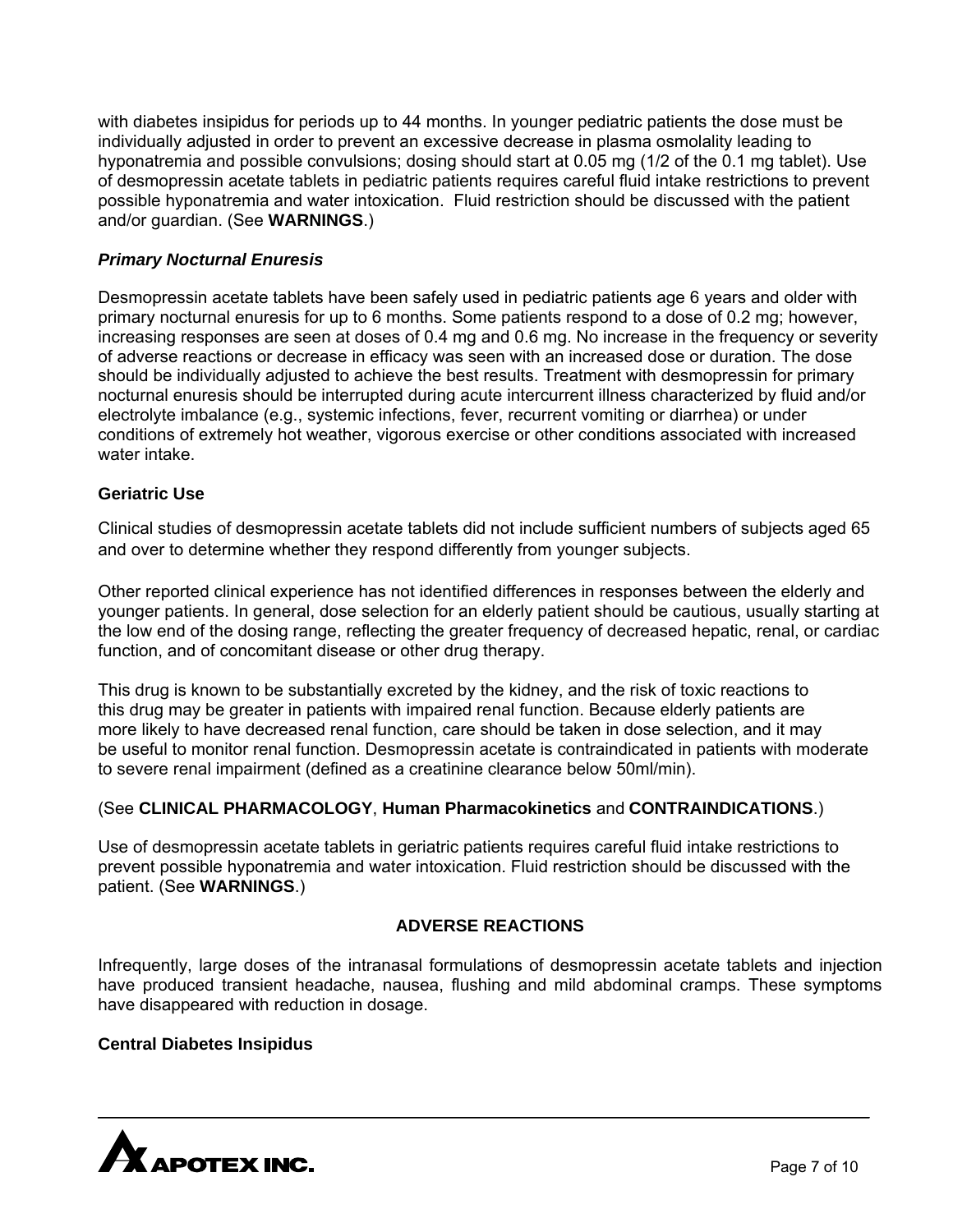with diabetes insipidus for periods up to 44 months. In younger pediatric patients the dose must be individually adjusted in order to prevent an excessive decrease in plasma osmolality leading to hyponatremia and possible convulsions; dosing should start at 0.05 mg (1/2 of the 0.1 mg tablet). Use of desmopressin acetate tablets in pediatric patients requires careful fluid intake restrictions to prevent possible hyponatremia and water intoxication. Fluid restriction should be discussed with the patient and/or guardian. (See **WARNINGS**.)

# *Primary Nocturnal Enuresis*

Desmopressin acetate tablets have been safely used in pediatric patients age 6 years and older with primary nocturnal enuresis for up to 6 months. Some patients respond to a dose of 0.2 mg; however, increasing responses are seen at doses of 0.4 mg and 0.6 mg. No increase in the frequency or severity of adverse reactions or decrease in efficacy was seen with an increased dose or duration. The dose should be individually adjusted to achieve the best results. Treatment with desmopressin for primary nocturnal enuresis should be interrupted during acute intercurrent illness characterized by fluid and/or electrolyte imbalance (e.g., systemic infections, fever, recurrent vomiting or diarrhea) or under conditions of extremely hot weather, vigorous exercise or other conditions associated with increased water intake.

# **Geriatric Use**

Clinical studies of desmopressin acetate tablets did not include sufficient numbers of subjects aged 65 and over to determine whether they respond differently from younger subjects.

Other reported clinical experience has not identified differences in responses between the elderly and younger patients. In general, dose selection for an elderly patient should be cautious, usually starting at the low end of the dosing range, reflecting the greater frequency of decreased hepatic, renal, or cardiac function, and of concomitant disease or other drug therapy.

This drug is known to be substantially excreted by the kidney, and the risk of toxic reactions to this drug may be greater in patients with impaired renal function. Because elderly patients are more likely to have decreased renal function, care should be taken in dose selection, and it may be useful to monitor renal function. Desmopressin acetate is contraindicated in patients with moderate to severe renal impairment (defined as a creatinine clearance below 50ml/min).

# (See **CLINICAL PHARMACOLOGY**, **Human Pharmacokinetics** and **CONTRAINDICATIONS**.)

Use of desmopressin acetate tablets in geriatric patients requires careful fluid intake restrictions to prevent possible hyponatremia and water intoxication. Fluid restriction should be discussed with the patient. (See **WARNINGS**.)

# **ADVERSE REACTIONS**

Infrequently, large doses of the intranasal formulations of desmopressin acetate tablets and injection have produced transient headache, nausea, flushing and mild abdominal cramps. These symptoms have disappeared with reduction in dosage.

# **Central Diabetes Insipidus**

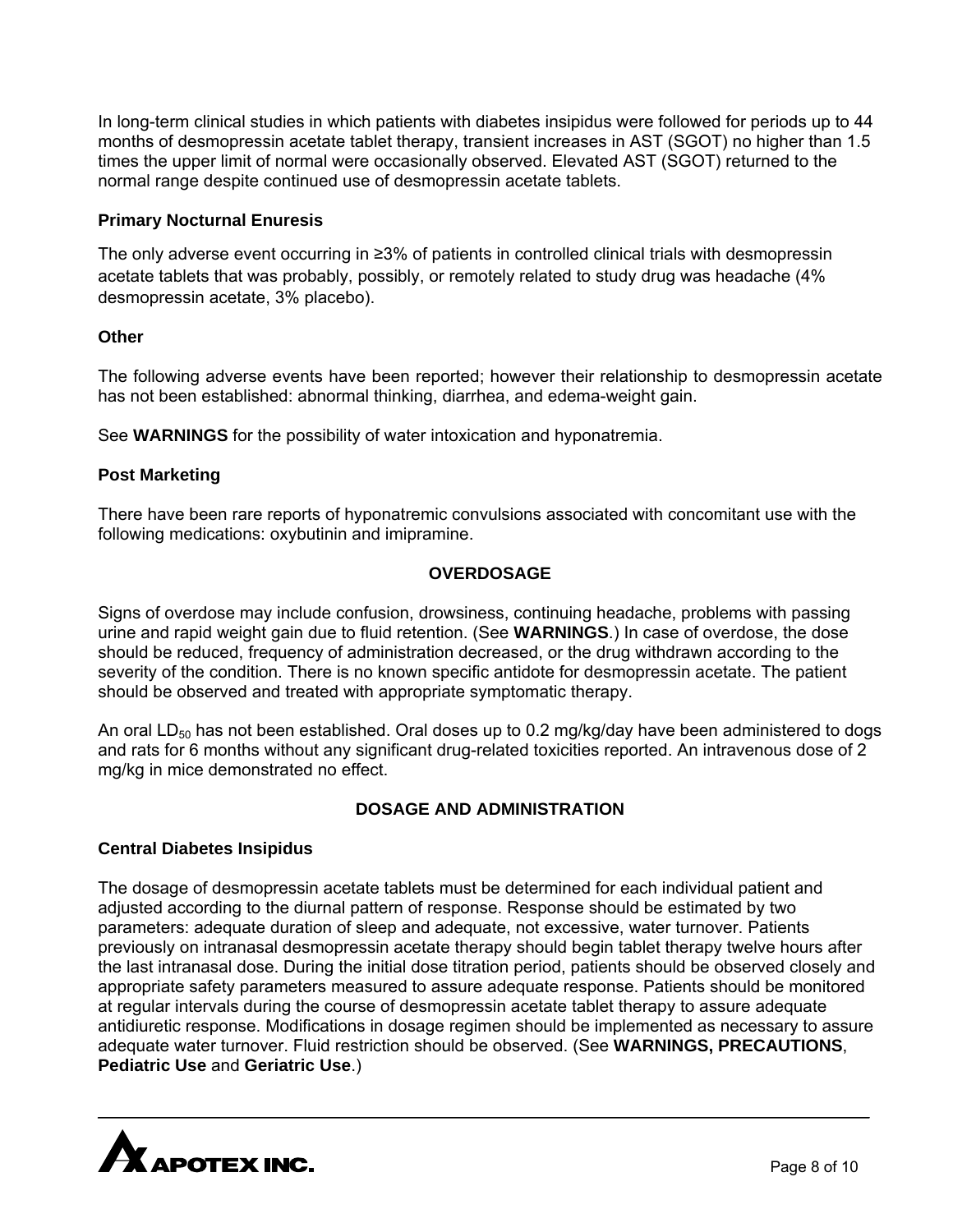In long-term clinical studies in which patients with diabetes insipidus were followed for periods up to 44 months of desmopressin acetate tablet therapy, transient increases in AST (SGOT) no higher than 1.5 times the upper limit of normal were occasionally observed. Elevated AST (SGOT) returned to the normal range despite continued use of desmopressin acetate tablets.

## **Primary Nocturnal Enuresis**

The only adverse event occurring in ≥3% of patients in controlled clinical trials with desmopressin acetate tablets that was probably, possibly, or remotely related to study drug was headache (4% desmopressin acetate, 3% placebo).

## **Other**

The following adverse events have been reported; however their relationship to desmopressin acetate has not been established: abnormal thinking, diarrhea, and edema-weight gain.

See **WARNINGS** for the possibility of water intoxication and hyponatremia.

# **Post Marketing**

There have been rare reports of hyponatremic convulsions associated with concomitant use with the following medications: oxybutinin and imipramine.

# **OVERDOSAGE**

Signs of overdose may include confusion, drowsiness, continuing headache, problems with passing urine and rapid weight gain due to fluid retention. (See **WARNINGS**.) In case of overdose, the dose should be reduced, frequency of administration decreased, or the drug withdrawn according to the severity of the condition. There is no known specific antidote for desmopressin acetate. The patient should be observed and treated with appropriate symptomatic therapy.

An oral LD<sub>50</sub> has not been established. Oral doses up to 0.2 mg/kg/day have been administered to dogs and rats for 6 months without any significant drug-related toxicities reported. An intravenous dose of 2 mg/kg in mice demonstrated no effect.

# **DOSAGE AND ADMINISTRATION**

#### **Central Diabetes Insipidus**

The dosage of desmopressin acetate tablets must be determined for each individual patient and adjusted according to the diurnal pattern of response. Response should be estimated by two parameters: adequate duration of sleep and adequate, not excessive, water turnover. Patients previously on intranasal desmopressin acetate therapy should begin tablet therapy twelve hours after the last intranasal dose. During the initial dose titration period, patients should be observed closely and appropriate safety parameters measured to assure adequate response. Patients should be monitored at regular intervals during the course of desmopressin acetate tablet therapy to assure adequate antidiuretic response. Modifications in dosage regimen should be implemented as necessary to assure adequate water turnover. Fluid restriction should be observed. (See **WARNINGS, PRECAUTIONS**, **Pediatric Use** and **Geriatric Use**.)

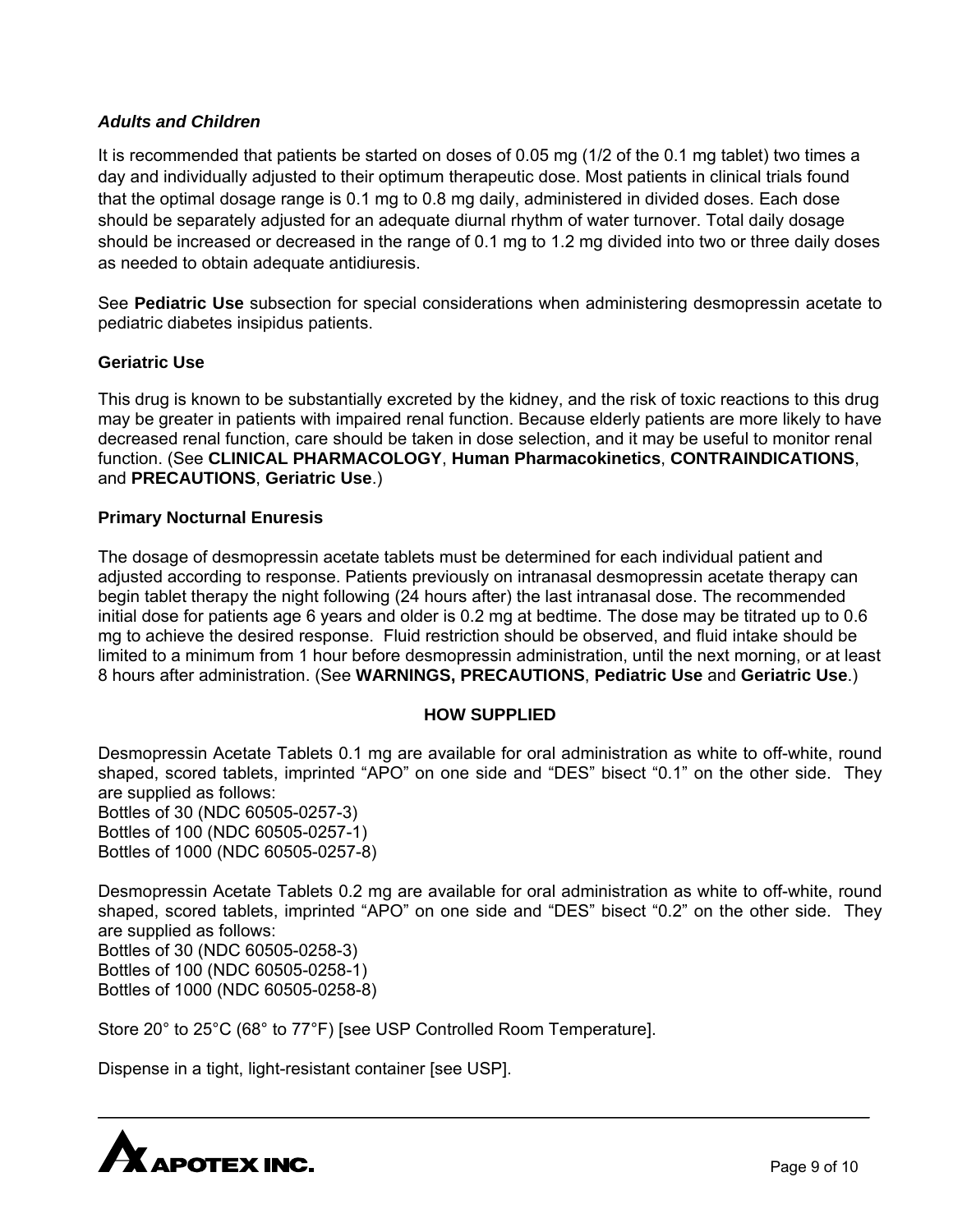# *Adults and Children*

It is recommended that patients be started on doses of 0.05 mg (1/2 of the 0.1 mg tablet) two times a day and individually adjusted to their optimum therapeutic dose. Most patients in clinical trials found that the optimal dosage range is 0.1 mg to 0.8 mg daily, administered in divided doses. Each dose should be separately adjusted for an adequate diurnal rhythm of water turnover. Total daily dosage should be increased or decreased in the range of 0.1 mg to 1.2 mg divided into two or three daily doses as needed to obtain adequate antidiuresis.

See **Pediatric Use** subsection for special considerations when administering desmopressin acetate to pediatric diabetes insipidus patients.

## **Geriatric Use**

This drug is known to be substantially excreted by the kidney, and the risk of toxic reactions to this drug may be greater in patients with impaired renal function. Because elderly patients are more likely to have decreased renal function, care should be taken in dose selection, and it may be useful to monitor renal function. (See **CLINICAL PHARMACOLOGY**, **Human Pharmacokinetics**, **CONTRAINDICATIONS**, and **PRECAUTIONS**, **Geriatric Use**.)

## **Primary Nocturnal Enuresis**

The dosage of desmopressin acetate tablets must be determined for each individual patient and adjusted according to response. Patients previously on intranasal desmopressin acetate therapy can begin tablet therapy the night following (24 hours after) the last intranasal dose. The recommended initial dose for patients age 6 years and older is 0.2 mg at bedtime. The dose may be titrated up to 0.6 mg to achieve the desired response. Fluid restriction should be observed, and fluid intake should be limited to a minimum from 1 hour before desmopressin administration, until the next morning, or at least 8 hours after administration. (See **WARNINGS, PRECAUTIONS**, **Pediatric Use** and **Geriatric Use**.)

#### **HOW SUPPLIED**

Desmopressin Acetate Tablets 0.1 mg are available for oral administration as white to off-white, round shaped, scored tablets, imprinted "APO" on one side and "DES" bisect "0.1" on the other side. They are supplied as follows: Bottles of 30 (NDC 60505-0257-3)

Bottles of 100 (NDC 60505-0257-1) Bottles of 1000 (NDC 60505-0257-8)

Desmopressin Acetate Tablets 0.2 mg are available for oral administration as white to off-white, round shaped, scored tablets, imprinted "APO" on one side and "DES" bisect "0.2" on the other side. They are supplied as follows:

Bottles of 30 (NDC 60505-0258-3) Bottles of 100 (NDC 60505-0258-1) Bottles of 1000 (NDC 60505-0258-8)

Store 20° to 25°C (68° to 77°F) [see USP Controlled Room Temperature].

Dispense in a tight, light-resistant container [see USP].